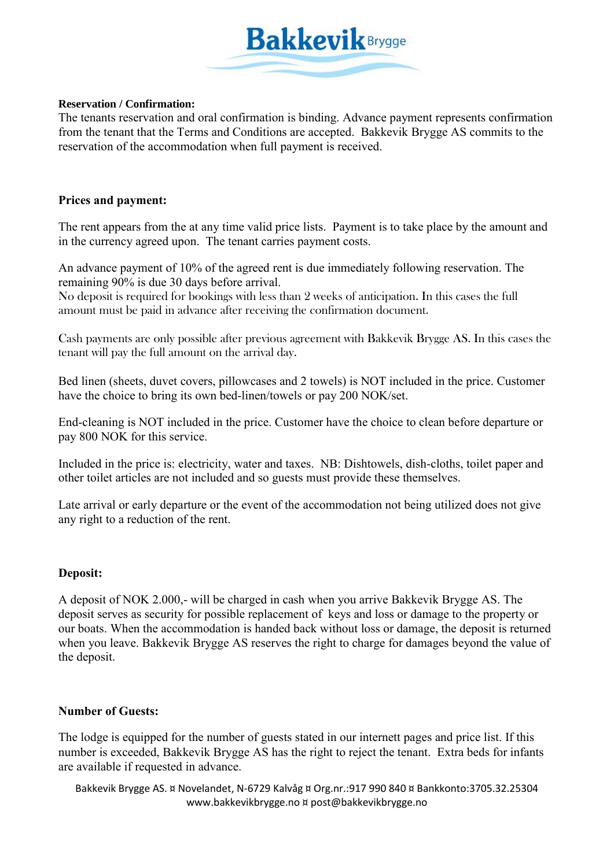

#### **Reservation / Confirmation:**

The tenants reservation and oral confirmation is binding. Advance payment represents confirmation from the tenant that the Terms and Conditions are accepted. Bakkevik Brygge AS commits to the reservation of the accommodation when full payment is received.

### **Prices and payment:**

The rent appears from the at any time valid price lists. Payment is to take place by the amount and in the currency agreed upon. The tenant carries payment costs.

An advance payment of 10% of the agreed rent is due immediately following reservation. The remaining 90% is due 30 days before arrival.

No deposit is required for bookings with less than 2 weeks of anticipation. In this cases the full amount must be paid in advance after receiving the confirmation document.

Cash payments are only possible after previous agreement with Bakkevik Brygge AS. In this cases the tenant will pay the full amount on the arrival day.

Bed linen (sheets, duvet covers, pillowcases and 2 towels) is NOT included in the price. Customer have the choice to bring its own bed-linen/towels or pay 200 NOK/set.

End-cleaning is NOT included in the price. Customer have the choice to clean before departure or pay 800 NOK for this service.

Included in the price is: electricity, water and taxes. NB: Dishtowels, dish-cloths, toilet paper and other toilet articles are not included and so guests must provide these themselves.

Late arrival or early departure or the event of the accommodation not being utilized does not give any right to a reduction of the rent.

### **Deposit:**

A deposit of NOK 2.000,- will be charged in cash when you arrive Bakkevik Brygge AS. The deposit serves as security for possible replacement of keys and loss or damage to the property or our boats. When the accommodation is handed back without loss or damage, the deposit is returned when you leave. Bakkevik Brygge AS reserves the right to charge for damages beyond the value of the deposit.

### **Number of Guests:**

The lodge is equipped for the number of guests stated in our internett pages and price list. If this number is exceeded, Bakkevik Brygge AS has the right to reject the tenant. Extra beds for infants are available if requested in advance.

Bakkevik Brygge AS. ¤ Novelandet, N-6729 Kalvåg ¤ Org.nr.:917 990 840 ¤ Bankkonto:3705.32.25304 www.bakkevikbrygge.no ¤ post@bakkevikbrygge.no